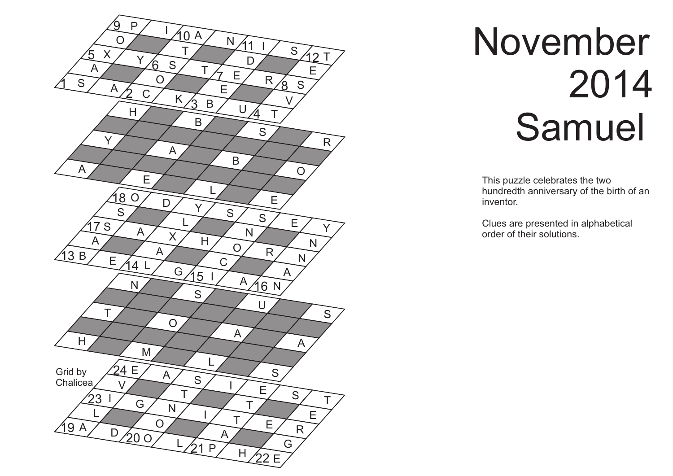

## November 2014 Samuel

This puzzle celebrates the two hundredth anniversary of the birth of an inventor .

Clues are presented in alphabetical order of their solutions.